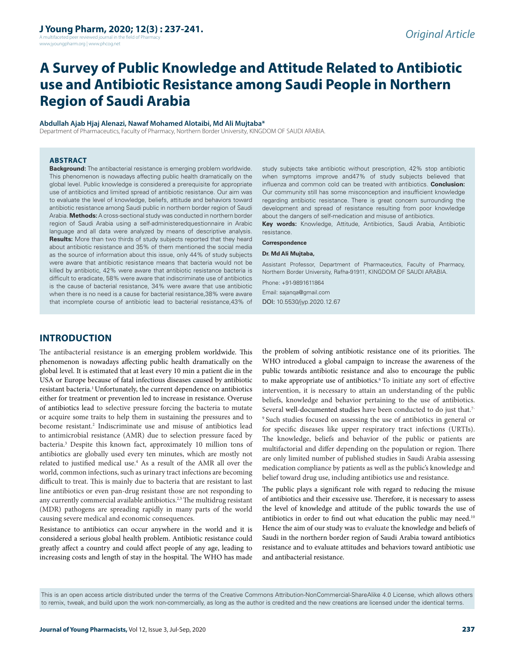A multifaceted peer reviewed journal in the field of Pharm www.jyoungpharm.org | www.phcog.net

# **A Survey of Public Knowledge and Attitude Related to Antibiotic use and Antibiotic Resistance among Saudi People in Northern Region of Saudi Arabia**

#### **Abdullah Ajab Hjaj Alenazi, Nawaf Mohamed Alotaibi, Md Ali Mujtaba\***

Department of Pharmaceutics, Faculty of Pharmacy, Northern Border University, KINGDOM OF SAUDI ARABIA.

#### **ABSTRACT**

**Background:** The antibacterial resistance is emerging problem worldwide. This phenomenon is nowadays affecting public health dramatically on the global level. Public knowledge is considered a prerequisite for appropriate use of antibiotics and limited spread of antibiotic resistance. Our aim was to evaluate the level of knowledge, beliefs, attitude and behaviors toward antibiotic resistance among Saudi public in northern border region of Saudi Arabia. **Methods:** A cross-sectional study was conducted in northern border region of Saudi Arabia using a self-administeredquestionnaire in Arabic language and all data were analyzed by means of descriptive analysis. **Results:** More than two thirds of study subjects reported that they heard about antibiotic resistance and 35% of them mentioned the social media as the source of information about this issue, only 44% of study subjects were aware that antibiotic resistance means that bacteria would not be killed by antibiotic, 42% were aware that antibiotic resistance bacteria is difficult to eradicate, 58% were aware that indiscriminate use of antibiotics is the cause of bacterial resistance, 34% were aware that use antibiotic when there is no need is a cause for bacterial resistance,38% were aware that incomplete course of antibiotic lead to bacterial resistance,43% of

study subjects take antibiotic without prescription, 42% stop antibiotic when symptoms improve and47% of study subjects believed that influenza and common cold can be treated with antibiotics. **Conclusion:** Our community still has some misconception and insufficient knowledge regarding antibiotic resistance. There is great concern surrounding the development and spread of resistance resulting from poor knowledge about the dangers of self-medication and misuse of antibiotics. **Key words:** Knowledge, Attitude, Antibiotics, Saudi Arabia, Antibiotic

resistance.

#### **Correspondence**

#### **Dr. Md Ali Mujtaba,**

Assistant Professor, Department of Pharmaceutics, Faculty of Pharmacy, Northern Border University, Rafha-91911, KINGDOM OF SAUDI ARABIA.

Phone: +91-9891611864 Email: sajanqa@gmail.com DOI: 10.5530/jyp.2020.12.67

# **INTRODUCTION**

The antibacterial resistance is an emerging problem worldwide. This phenomenon is nowadays affecting public health dramatically on the global level. It is estimated that at least every 10 min a patient die in the USA or Europe because of fatal infectious diseases caused by antibiotic resistant bacteria.<sup>1</sup> Unfortunately, the current dependence on antibiotics either for treatment or prevention led to increase in resistance. Overuse of antibiotics lead to selective pressure forcing the bacteria to mutate or acquire some traits to help them in sustaining the pressures and to become resistant.<sup>2</sup> Indiscriminate use and misuse of antibiotics lead to antimicrobial resistance (AMR) due to selection pressure faced by bacteria.3 Despite this known fact, approximately 10 million tons of antibiotics are globally used every ten minutes, which are mostly not related to justified medical use.<sup>4</sup> As a result of the AMR all over the world, common infections, such as urinary tract infections are becoming difficult to treat. This is mainly due to bacteria that are resistant to last line antibiotics or even pan-drug resistant those are not responding to any currently commercial available antibiotics.<sup>2,5</sup> The multidrug resistant (MDR) pathogens are spreading rapidly in many parts of the world causing severe medical and economic consequences.

Resistance to antibiotics can occur anywhere in the world and it is considered a serious global health problem. Antibiotic resistance could greatly affect a country and could affect people of any age, leading to increasing costs and length of stay in the hospital. The WHO has made

the problem of solving antibiotic resistance one of its priorities. The WHO introduced a global campaign to increase the awareness of the public towards antibiotic resistance and also to encourage the public to make appropriate use of antibiotics.<sup>6</sup> To initiate any sort of effective intervention, it is necessary to attain an understanding of the public beliefs, knowledge and behavior pertaining to the use of antibiotics. Several well-documented studies have been conducted to do just that.<sup>7-</sup> 9 Such studies focused on assessing the use of antibiotics in general or for specific diseases like upper respiratory tract infections (URTIs). The knowledge, beliefs and behavior of the public or patients are multifactorial and differ depending on the population or region. There are only limited number of published studies in Saudi Arabia assessing medication compliance by patients as well as the public's knowledge and belief toward drug use, including antibiotics use and resistance.

The public plays a significant role with regard to reducing the misuse of antibiotics and their excessive use. Therefore, it is necessary to assess the level of knowledge and attitude of the public towards the use of antibiotics in order to find out what education the public may need.10 Hence the aim of our study was to evaluate the knowledge and beliefs of Saudi in the northern border region of Saudi Arabia toward antibiotics resistance and to evaluate attitudes and behaviors toward antibiotic use and antibacterial resistance.

This is an open access article distributed under the terms of the Creative Commons Attribution-NonCommercial-ShareAlike 4.0 License, which allows others to remix, tweak, and build upon the work non-commercially, as long as the author is credited and the new creations are licensed under the identical terms.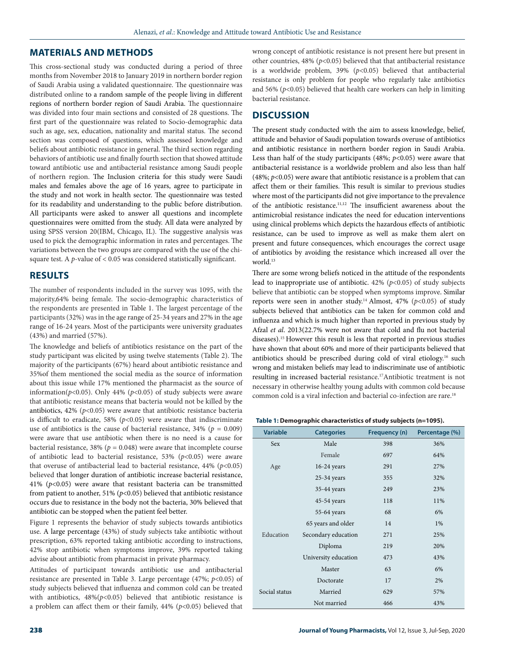## **MATERIALS AND METHODS**

This cross-sectional study was conducted during a period of three months from November 2018 to January 2019 in northern border region of Saudi Arabia using a validated questionnaire. The questionnaire was distributed online to a random sample of the people living in different regions of northern border region of Saudi Arabia. The questionnaire was divided into four main sections and consisted of 28 questions. The first part of the questionnaire was related to Socio-demographic data such as age, sex, education, nationality and marital status. The second section was composed of questions, which assessed knowledge and beliefs about antibiotic resistance in general. The third section regarding behaviors of antibiotic use and finally fourth section that showed attitude toward antibiotic use and antibacterial resistance among Saudi people of northern region. The Inclusion criteria for this study were Saudi males and females above the age of 16 years, agree to participate in the study and not work in health sector. The questionnaire was tested for its readability and understanding to the public before distribution. All participants were asked to answer all questions and incomplete questionnaires were omitted from the study. All data were analyzed by using SPSS version 20(IBM, Chicago, IL). The suggestive analysis was used to pick the demographic information in rates and percentages. The variations between the two groups are compared with the use of the chisquare test. A *p*-value of < 0.05 was considered statistically significant.

## **RESULTS**

The number of respondents included in the survey was 1095, with the majority,64% being female. The socio-demographic characteristics of the respondents are presented in Table 1. The largest percentage of the participants (32%) was in the age range of 25-34 years and 27% in the age range of 16-24 years. Most of the participants were university graduates (43%) and married (57%).

The knowledge and beliefs of antibiotics resistance on the part of the study participant was elicited by using twelve statements (Table 2). The majority of the participants (67%) heard about antibiotic resistance and 35%of them mentioned the social media as the source of information about this issue while 17% mentioned the pharmacist as the source of information( $p$ <0.05). Only 44% ( $p$ <0.05) of study subjects were aware that antibiotic resistance means that bacteria would not be killed by the antibiotics,  $42\%$  ( $p<0.05$ ) were aware that antibiotic resistance bacteria is difficult to eradicate, 58% ( $p$ <0.05) were aware that indiscriminate use of antibiotics is the cause of bacterial resistance,  $34\%$  ( $p = 0.009$ ) were aware that use antibiotic when there is no need is a cause for bacterial resistance, 38% ( $p = 0.048$ ) were aware that incomplete course of antibiotic lead to bacterial resistance, 53% (*p*<0.05) were aware that overuse of antibacterial lead to bacterial resistance, 44% (*p*<0.05) believed that longer duration of antibiotic increase bacterial resistance, 41% (*p*<0.05) were aware that resistant bacteria can be transmitted from patient to another, 51% ( $p$ <0.05) believed that antibiotic resistance occurs due to resistance in the body not the bacteria, 30% believed that antibiotic can be stopped when the patient feel better.

Figure 1 represents the behavior of study subjects towards antibiotics use. A large percentage (43%) of study subjects take antibiotic without prescription, 63% reported taking antibiotic according to instructions, 42% stop antibiotic when symptoms improve, 39% reported taking advise about antibiotic from pharmacist in private pharmacy.

Attitudes of participant towards antibiotic use and antibacterial resistance are presented in Table 3. Large percentage (47%; *p*<0.05) of study subjects believed that influenza and common cold can be treated with antibiotics,  $48\%(p<0.05)$  believed that antibiotic resistance is a problem can affect them or their family, 44% (*p*<0.05) believed that

wrong concept of antibiotic resistance is not present here but present in other countries,  $48\%$  ( $p<0.05$ ) believed that that antibacterial resistance is a worldwide problem, 39% (*p*<0.05) believed that antibacterial resistance is only problem for people who regularly take antibiotics and  $56\%$  ( $p<0.05$ ) believed that health care workers can help in limiting bacterial resistance.

## **DISCUSSION**

The present study conducted with the aim to assess knowledge, belief, attitude and behavior of Saudi population towards overuse of antibiotics and antibiotic resistance in northern border region in Saudi Arabia. Less than half of the study participants  $(48\%; p<0.05)$  were aware that antibacterial resistance is a worldwide problem and also less than half (48%; *p*<0.05) were aware that antibiotic resistance is a problem that can affect them or their families. This result is similar to previous studies where most of the participants did not give importance to the prevalence of the antibiotic resistance.11,12 The insufficient awareness about the antimicrobial resistance indicates the need for education interventions using clinical problems which depicts the hazardous effects of antibiotic resistance, can be used to improve as well as make them alert on present and future consequences, which encourages the correct usage of antibiotics by avoiding the resistance which increased all over the world.<sup>13</sup>

There are some wrong beliefs noticed in the attitude of the respondents lead to inappropriate use of antibiotic.  $42\%$  ( $p<0.05$ ) of study subjects believe that antibiotic can be stopped when symptoms improve. Similar reports were seen in another study.<sup>14</sup> Almost, 47% ( $p$ <0.05) of study subjects believed that antibiotics can be taken for common cold and influenza and which is much higher than reported in previous study by Afzal *et al*. 2013(22.7% were not aware that cold and flu not bacterial diseases).15 However this result is less that reported in previous studies have shown that about 60% and more of their participants believed that antibiotics should be prescribed during cold of viral etiology.<sup>16</sup> such wrong and mistaken beliefs may lead to indiscriminate use of antibiotic resulting in increased bacterial resistance.17Antibiotic treatment is not necessary in otherwise healthy young adults with common cold because common cold is a viral infection and bacterial co-infection are rare.<sup>18</sup>

#### **Table 1: Demographic characteristics of study subjects (n=1095).**

| <b>Variable</b> | <b>Categories</b>    | Frequency (n) | Percentage (%) |
|-----------------|----------------------|---------------|----------------|
| Sex             | Male                 | 398           | 36%            |
|                 | Female               | 697           | 64%            |
| Age             | $16-24$ years        | 291           | 27%            |
|                 | $25-34$ years        | 355           | 32%            |
|                 | 35-44 years          | 249           | 23%            |
|                 | $45-54$ years        | 118           | 11%            |
|                 | 55-64 years          | 68            | 6%             |
|                 | 65 years and older   | 14            | 1%             |
| Education       | Secondary education  | 271           | 25%            |
| Diploma         |                      | 219           | 20%            |
|                 | University education | 473           | 43%            |
|                 | Master               | 63            | 6%             |
|                 | Doctorate            | 17            | 2%             |
| Social status   | Married              | 629           | 57%            |
|                 | Not married          |               | 43%            |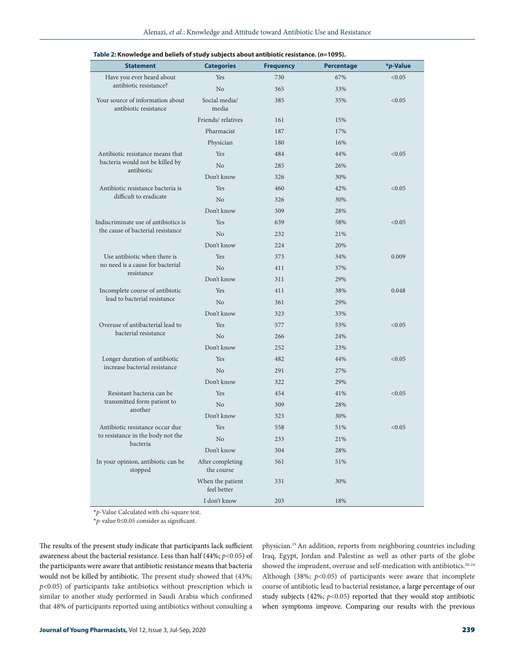|                                                           |                                 |                  |                   | *p-Value |
|-----------------------------------------------------------|---------------------------------|------------------|-------------------|----------|
| <b>Statement</b>                                          | <b>Categories</b>               | <b>Frequency</b> | <b>Percentage</b> |          |
| Have you ever heard about<br>antibiotic resistance?       | Yes                             | 730              | 67%               | < 0.05   |
|                                                           | N <sub>o</sub>                  | 365              | 33%               |          |
| Your source of information about<br>antibiotic resistance | Social media/<br>media          | 385              | 35%               | <0.05    |
|                                                           | Friends/relatives               | 161              | 15%               |          |
|                                                           | Pharmacist                      | 187              | 17%               |          |
|                                                           | Physician                       | 180              | 16%               |          |
| Antibiotic resistance means that                          | Yes                             | 484              | 44%               | < 0.05   |
| bacteria would not be killed by<br>antibiotic             | N <sub>o</sub>                  | 285              | 26%               |          |
|                                                           | Don't know                      | 326              | 30%               |          |
| Antibiotic resistance bacteria is                         | Yes                             | 460              | 42%               | < 0.05   |
| difficult to eradicate                                    | N <sub>o</sub>                  | 326              | 30%               |          |
|                                                           | Don't know                      | 309              | 28%               |          |
| Indiscriminate use of antibiotics is                      | Yes                             | 639              | 58%               | < 0.05   |
| the cause of bacterial resistance                         | No                              | 232              | 21%               |          |
|                                                           | Don't know                      | 224              | 20%               |          |
| Use antibiotic when there is                              | Yes                             | 373              | 34%               | 0.009    |
| no need is a cause for bacterial                          | No                              | 411              | 37%               |          |
| resistance                                                | Don't know                      | 311              | 29%               |          |
| Incomplete course of antibiotic                           | Yes                             | 411              | 38%               | 0.048    |
| lead to bacterial resistance                              | N <sub>o</sub>                  | 361              | 29%               |          |
|                                                           | Don't know                      | 323              | 33%               |          |
| Overuse of antibacterial lead to                          | Yes                             | 577              | 53%               | < 0.05   |
| bacterial resistance                                      | No                              | 266              | 24%               |          |
|                                                           | Don't know                      | 252              | 23%               |          |
| Longer duration of antibiotic                             | Yes                             | 482              | 44%               | < 0.05   |
| increase bacterial resistance                             | N <sub>o</sub>                  | 291              | 27%               |          |
|                                                           | Don't know                      | 322              | 29%               |          |
| Resistant bacteria can be                                 | Yes                             | 454              | 41%               | < 0.05   |
| transmitted form patient to                               | N <sub>o</sub>                  | 309              | 28%               |          |
| another                                                   | Don't know                      | 323              | 30%               |          |
| Antibiotic resistance occur due                           | Yes                             | 558              | 51%               | < 0.05   |
| to resistance in the body not the                         | No                              | 233              | 21%               |          |
| bacteria                                                  | Don't know                      | 304              | 28%               |          |
| In your opinion, antibiotic can be<br>stopped             | After completing<br>the course  | 561              | 51%               |          |
|                                                           | When the patient<br>feel better | 331              | 30%               |          |
|                                                           | I don't know                    | 203              | 18%               |          |

#### **Table 2: Knowledge and beliefs of study subjects about antibiotic resistance. (***n***=1095).**

**\****p*-Value Calculated with chi-square test.

**\****p*-value 0≤0.05 consider as significant.

The results of the present study indicate that participants lack sufficient awareness about the bacterial resistance. Less than half (44%; *p*<0.05) of the participants were aware that antibiotic resistance means that bacteria would not be killed by antibiotic. The present study showed that (43%; *p*<0.05) of participants take antibiotics without prescription which is similar to another study performed in Saudi Arabia which confirmed that 48% of participants reported using antibiotics without consulting a

physician.19 An addition, reports from neighboring countries including Iraq, Egypt, Jordan and Palestine as well as other parts of the globe showed the imprudent, overuse and self-medication with antibiotics.<sup>20-24</sup> Although (38%; *p*<0.05) of participants were aware that incomplete course of antibiotic lead to bacterial resistance, a large percentage of our study subjects (42%; *p*<0.05) reported that they would stop antibiotic when symptoms improve. Comparing our results with the previous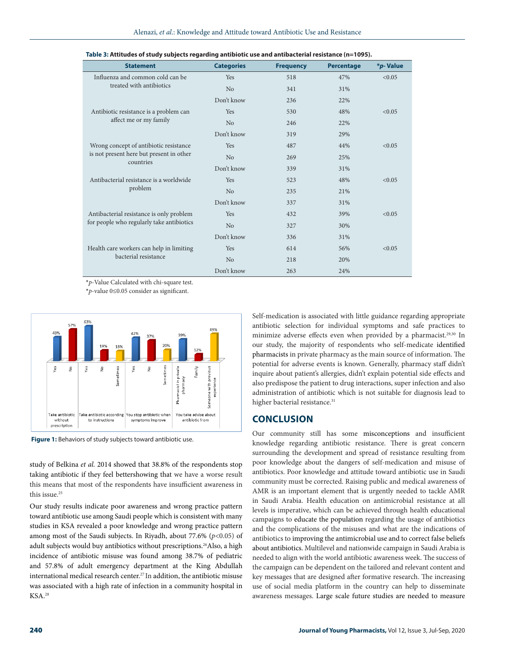| <b>Statement</b>                                      | <b>Categories</b> | <b>Frequency</b> | <b>Percentage</b> | *p-Value |
|-------------------------------------------------------|-------------------|------------------|-------------------|----------|
| Influenza and common cold can be                      | Yes               | 518              | 47%               | < 0.05   |
| treated with antibiotics                              | N <sub>o</sub>    | 341              | 31%               |          |
|                                                       | Don't know        | 236              | 22%               |          |
| Antibiotic resistance is a problem can                | Yes               | 530              | 48%               | < 0.05   |
| affect me or my family                                | N <sub>o</sub>    | 246              | 22%               |          |
|                                                       | Don't know        | 319              | 29%               |          |
| Wrong concept of antibiotic resistance                | Yes               | 487              | 44%               | < 0.05   |
| is not present here but present in other<br>countries | N <sub>o</sub>    | 269              | 25%               |          |
|                                                       | Don't know        | 339              | 31%               |          |
| Antibacterial resistance is a worldwide               | Yes               | 523              | 48%               | < 0.05   |
| problem                                               | N <sub>o</sub>    | 235              | 21%               |          |
|                                                       | Don't know        | 337              | 31%               |          |
| Antibacterial resistance is only problem              | Yes               | 432              | 39%               | < 0.05   |
| for people who regularly take antibiotics             | No                | 327              | 30%               |          |
|                                                       | Don't know        | 336              | 31%               |          |
| Health care workers can help in limiting              | Yes               | 614              | 56%               | < 0.05   |
| bacterial resistance                                  | N <sub>o</sub>    | 218              | 20%               |          |
|                                                       | Don't know        | 263              | 24%               |          |

**\****p*-Value Calculated with chi-square test.

**\****p*-value 0≤0.05 consider as significant.



**Figure 1:** Behaviors of study subjects toward antibiotic use.

study of Belkina *et al*. 2014 showed that 38.8% of the respondents stop taking antibiotic if they feel bettershowing that we have a worse result this means that most of the respondents have insufficient awareness in this issue.<sup>25</sup>

Our study results indicate poor awareness and wrong practice pattern toward antibiotic use among Saudi people which is consistent with many studies in KSA revealed a poor knowledge and wrong practice pattern among most of the Saudi subjects. In Riyadh, about 77.6% (*p*<0.05) of adult subjects would buy antibiotics without prescriptions.<sup>26</sup>Also, a high incidence of antibiotic misuse was found among 38.7% of pediatric and 57.8% of adult emergency department at the King Abdullah international medical research center.27 In addition, the antibiotic misuse was associated with a high rate of infection in a community hospital in KSA.28

Self-medication is associated with little guidance regarding appropriate antibiotic selection for individual symptoms and safe practices to minimize adverse effects even when provided by a pharmacist.<sup>29,30</sup> In our study, the majority of respondents who self-medicate identified pharmacists in private pharmacy as the main source of information. The potential for adverse events is known. Generally, pharmacy staff didn't inquire about patient's allergies, didn't explain potential side effects and also predispose the patient to drug interactions, super infection and also administration of antibiotic which is not suitable for diagnosis lead to higher bacterial resistance.<sup>31</sup>

## **CONCLUSION**

Our community still has some misconceptions and insufficient knowledge regarding antibiotic resistance. There is great concern surrounding the development and spread of resistance resulting from poor knowledge about the dangers of self-medication and misuse of antibiotics. Poor knowledge and attitude toward antibiotic use in Saudi community must be corrected. Raising public and medical awareness of AMR is an important element that is urgently needed to tackle AMR in Saudi Arabia. Health education on antimicrobial resistance at all levels is imperative, which can be achieved through health educational campaigns to educate the population regarding the usage of antibiotics and the complications of the misuses and what are the indications of antibiotics to improving the antimicrobial use and to correct false beliefs about antibiotics. Multilevel and nationwide campaign in Saudi Arabia is needed to align with the world antibiotic awareness week. The success of the campaign can be dependent on the tailored and relevant content and key messages that are designed after formative research. The increasing use of social media platform in the country can help to disseminate awareness messages. Large scale future studies are needed to measure